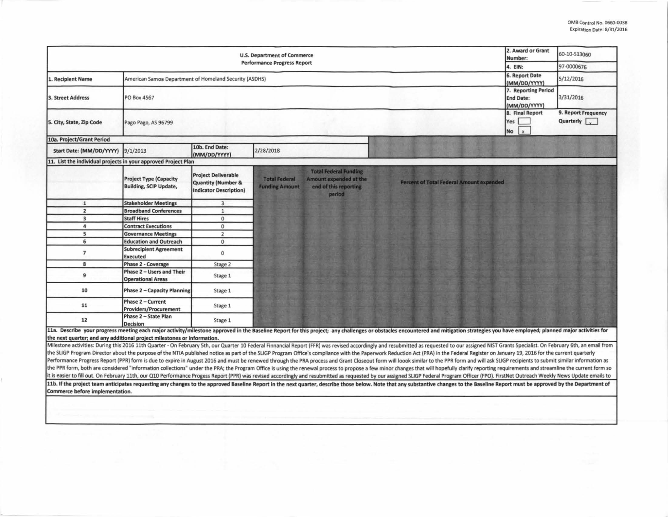| <b>U.S. Department of Commerce</b><br><b>Performance Progress Report</b> |                                                                |                                                                                              |                                               |                                                                                           | 2. Award or Grant<br>Number:                                                                                                                                                                                                   | 60-10-S13060                                            |                                                    |
|--------------------------------------------------------------------------|----------------------------------------------------------------|----------------------------------------------------------------------------------------------|-----------------------------------------------|-------------------------------------------------------------------------------------------|--------------------------------------------------------------------------------------------------------------------------------------------------------------------------------------------------------------------------------|---------------------------------------------------------|----------------------------------------------------|
|                                                                          |                                                                |                                                                                              |                                               |                                                                                           |                                                                                                                                                                                                                                | 4. EIN:                                                 | 97-0000676                                         |
| <b>L. Recipient Name</b>                                                 | American Samoa Department of Homeland Security (ASDHS)         |                                                                                              |                                               |                                                                                           |                                                                                                                                                                                                                                | 6. Report Date<br>(MM/DD/YYYY)                          | 5/12/2016                                          |
| <b>3. Street Address</b>                                                 | PO Box 4567                                                    |                                                                                              |                                               |                                                                                           |                                                                                                                                                                                                                                | 7. Reporting Period<br><b>End Date:</b><br>(MM/DD/YYYY) | 3/31/2016                                          |
| 5. City, State, Zip Code                                                 | Pago Pago, AS 96799                                            |                                                                                              |                                               |                                                                                           |                                                                                                                                                                                                                                | 8. Final Report<br>Yes<br>No                            | 9. Report Frequency<br>Quarterly $\sqrt{\sqrt{2}}$ |
| 10a. Project/Grant Period                                                |                                                                |                                                                                              |                                               |                                                                                           |                                                                                                                                                                                                                                |                                                         |                                                    |
| Start Date: (MM/DD/YYYY)                                                 | 9/1/2013                                                       | 10b. End Date:<br>(MM/DD/YYYY)                                                               | 2/28/2018                                     |                                                                                           |                                                                                                                                                                                                                                |                                                         |                                                    |
| 11. List the individual projects in your approved Project Plan           |                                                                |                                                                                              |                                               |                                                                                           |                                                                                                                                                                                                                                |                                                         |                                                    |
|                                                                          | <b>Project Type (Capacity</b><br><b>Building, SCIP Update,</b> | <b>Project Deliverable</b><br><b>Quantity (Number &amp;</b><br><b>Indicator Description)</b> | <b>Total Federal</b><br><b>Funding Amount</b> | <b>Total Federal Funding</b><br>Amount expended at the<br>end of this reporting<br>period | <b>Percent of Total Federal Amount expended</b>                                                                                                                                                                                |                                                         |                                                    |
| 1                                                                        | <b>Stakeholder Meetings</b>                                    | $\overline{3}$                                                                               |                                               |                                                                                           |                                                                                                                                                                                                                                |                                                         |                                                    |
| $\overline{2}$                                                           | <b>Broadband Conferences</b>                                   | $\mathbf{1}$                                                                                 |                                               |                                                                                           |                                                                                                                                                                                                                                |                                                         |                                                    |
| $\overline{\mathbf{3}}$                                                  | <b>Staff Hires</b>                                             | $\mathbf{0}$                                                                                 |                                               |                                                                                           |                                                                                                                                                                                                                                |                                                         |                                                    |
| 4                                                                        | <b>Contract Executions</b>                                     | $\mathbf{0}$                                                                                 |                                               |                                                                                           |                                                                                                                                                                                                                                |                                                         |                                                    |
| 5                                                                        | <b>Governance Meetings</b>                                     | $\overline{2}$                                                                               |                                               |                                                                                           |                                                                                                                                                                                                                                |                                                         |                                                    |
| 6                                                                        | <b>Education and Outreach</b>                                  | $\mathbf{0}$                                                                                 |                                               |                                                                                           |                                                                                                                                                                                                                                |                                                         |                                                    |
| $\overline{7}$                                                           | <b>Subrecipient Agreement</b><br><b>Executed</b>               | $\mathbf{0}$                                                                                 |                                               |                                                                                           |                                                                                                                                                                                                                                |                                                         |                                                    |
| 8                                                                        | <b>Phase 2 - Coverage</b>                                      | Stage 2                                                                                      |                                               |                                                                                           |                                                                                                                                                                                                                                |                                                         |                                                    |
| 9                                                                        | Phase 2 - Users and Their<br><b>Operational Areas</b>          | Stage 1                                                                                      |                                               |                                                                                           |                                                                                                                                                                                                                                |                                                         |                                                    |
| 10                                                                       | <b>Phase 2 - Capacity Planning</b>                             | Stage 1                                                                                      |                                               |                                                                                           |                                                                                                                                                                                                                                |                                                         |                                                    |
| 11                                                                       | Phase 2 - Current<br><b>Providers/Procurement</b>              | Stage 1                                                                                      |                                               |                                                                                           |                                                                                                                                                                                                                                |                                                         |                                                    |
| 12                                                                       | Phase 2 - State Plan<br><b>Decision</b>                        | Stage 1                                                                                      |                                               |                                                                                           |                                                                                                                                                                                                                                |                                                         |                                                    |
| the next quarter; and any additional project milestones or information.  |                                                                |                                                                                              |                                               |                                                                                           | 11a. Describe your progress meeting each major activity/milestone approved in the Baseline Report for this project; any challenges or obstacles encountered and mitigation strategies you have employed; planned major activit |                                                         |                                                    |
|                                                                          |                                                                |                                                                                              |                                               |                                                                                           | Milestone activities: During this 2016 11th Quarter - On February 5th, our Quarter 10 Federal Finnancial Report (FFR) was revised accordingly and resubmitted as requested to our assigned NIST Grants Specialist. On February |                                                         |                                                    |
|                                                                          |                                                                |                                                                                              |                                               |                                                                                           | the SLIGP Program Director about the purpose of the NTIA published notice as part of the SLIGP Program Office's compliance with the Paperwork Reduction Act (PRA) in the Federal Register on January 19, 2016 for the current  |                                                         |                                                    |
|                                                                          |                                                                |                                                                                              |                                               |                                                                                           | Performance Progress Report (PPR) form is due to expire in August 2016 and must be renewed through the PRA process and Grant Closeout form will loook similar to the PPR form and will ask SLIGP recipients to submit similar  |                                                         |                                                    |
|                                                                          |                                                                |                                                                                              |                                               |                                                                                           | the PPR form, both are considered "information collections" under the PRA; the Program Office is using the renewal process to propose a few minor changes that will hopefully clarify reporting requirements and streamline th |                                                         |                                                    |
|                                                                          |                                                                |                                                                                              |                                               |                                                                                           | it is easier to fill out. On February 11th, our Q10 Performance Progess Report (PPR) was revised accordingly and resubmitted as requested by our assigned SLIGP Federal Program Officer (FPO). FirstNet Outreach Weekly News U |                                                         |                                                    |
| Commerce before implementation.                                          |                                                                |                                                                                              |                                               |                                                                                           | 11b. If the project team anticipates requesting any changes to the approved Baseline Report in the next quarter, describe those below. Note that any substantive changes to the Baseline Report must be approved by the Depart |                                                         |                                                    |
|                                                                          |                                                                |                                                                                              |                                               |                                                                                           |                                                                                                                                                                                                                                |                                                         |                                                    |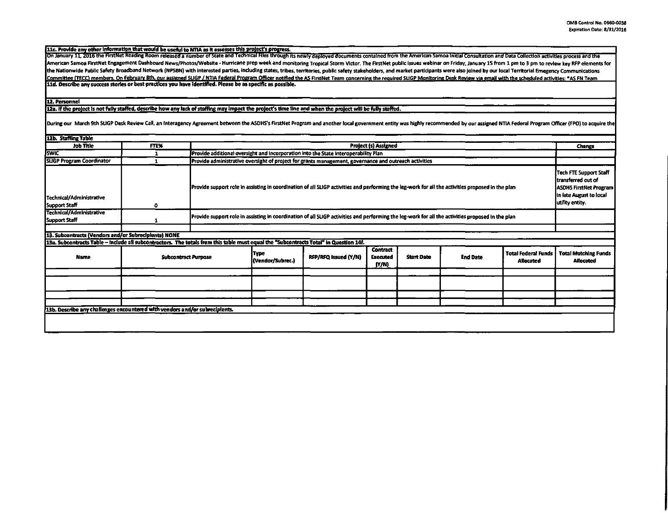11c. Provide any other information that would be useful to NTIA as it assesses this project's progress.<br>|On January 11, 2016 the FirstNet Reading Room released a number of State and Technical Files through its newly deploy American Samoa FirstNet Engagement Dashboard News/Photos/Website - Hurricane prep week and monitoring Tropical Storm Victor. The FirstNet public issues webinar on Friday, January 15 from 1 pm to 3 pm to review key RFP elem the Nationwide Public Safety Broadband Network (NPSBN) with interested parties, including states, tribes, territories, public safety stakeholders, and market participants were also joined by our local Territorial Emegency Committee (TECC) members. On February 8th, our assigned SLIGP / NTIA Federal Program Officer notified the AS FirstNet Team concerning the required SLIGP Monitoring Desk Review via email with the scheduled activities: \*AS F 11d. Describe any success stories or best practices you have identified. Please be as specific as possible.

## 12. Personnel

12a. If the project is not fully staffed, describe how any lack of staffing may impact the project's time line and when the project will be fully staffed.

During our March 9th SUGP Desk Review Call, an Interagency Agreement between the ASDHS's FirstNet Program and another local government entity was highly recommended by our assigned NTIA Federal Program Officer (FPO) to acq

| <b>L2b. Staffing Table</b>                                                                                                            |                            |                                                                                                                                                   |                          |                      |                                             |                   |                 |                                                                                                                                     |                                                 |
|---------------------------------------------------------------------------------------------------------------------------------------|----------------------------|---------------------------------------------------------------------------------------------------------------------------------------------------|--------------------------|----------------------|---------------------------------------------|-------------------|-----------------|-------------------------------------------------------------------------------------------------------------------------------------|-------------------------------------------------|
| <b>Job Title</b>                                                                                                                      | FTE%                       | <b>Project (s) Assigned</b>                                                                                                                       |                          |                      |                                             |                   |                 |                                                                                                                                     | Change                                          |
| <b>SWIC</b>                                                                                                                           |                            | Provide additional oversight and incorporation into the State Interoperability Plan                                                               |                          |                      |                                             |                   |                 |                                                                                                                                     |                                                 |
| <b>SLIGP Program Coordinator</b>                                                                                                      |                            | Provide administrative oversight of project for grants management, governance and outreach activities                                             |                          |                      |                                             |                   |                 |                                                                                                                                     |                                                 |
| Technical/Administrative<br>Support Staff                                                                                             | ٥                          | Provide support role in assisting in coordination of all SLIGP activities and performing the leg-work for all the activities proposed in the plan |                          |                      |                                             |                   |                 | <b>Tech FTE Support Staff</b><br>Itransferred out of<br><b>ASDHS FirstNet Program</b><br>in late August to local<br>utility entity. |                                                 |
| Technical/Administrative<br>Support Staff                                                                                             |                            | Provide support role in assisting in coordination of all SUGP activities and performing the leg-work for all the activities proposed in the plan  |                          |                      |                                             |                   |                 |                                                                                                                                     |                                                 |
|                                                                                                                                       |                            |                                                                                                                                                   |                          |                      |                                             |                   |                 |                                                                                                                                     |                                                 |
| 13. Subcontracts (Vendors and/or Subrecipients) NONE                                                                                  |                            |                                                                                                                                                   |                          |                      |                                             |                   |                 |                                                                                                                                     |                                                 |
| 13a. Subcontracts Table - Include all subcontractors. The totals from this table must equal the "Subcontracts Total" in Question 14f. |                            |                                                                                                                                                   |                          |                      |                                             |                   |                 |                                                                                                                                     |                                                 |
| <b>Name</b>                                                                                                                           | <b>Subcontract Purpose</b> |                                                                                                                                                   | Type<br>(Vendor/Subrec.) | RFP/RFQ Issued (Y/N) | <b>Contract</b><br><b>Executed</b><br>(Y/N) | <b>Start Date</b> | <b>End Date</b> | <b>Total Federal Funds</b><br><b>Allocated</b>                                                                                      | <b>Total Matching Funds</b><br><b>Allocated</b> |
|                                                                                                                                       |                            |                                                                                                                                                   |                          |                      |                                             |                   |                 |                                                                                                                                     |                                                 |
|                                                                                                                                       |                            |                                                                                                                                                   |                          |                      |                                             |                   |                 |                                                                                                                                     |                                                 |
|                                                                                                                                       |                            |                                                                                                                                                   |                          |                      |                                             |                   |                 |                                                                                                                                     |                                                 |
|                                                                                                                                       |                            |                                                                                                                                                   |                          |                      |                                             |                   |                 |                                                                                                                                     |                                                 |
| 13b. Describe any challenges encountered with vendors and/or subrecipients.                                                           |                            |                                                                                                                                                   |                          |                      |                                             |                   |                 |                                                                                                                                     |                                                 |
|                                                                                                                                       |                            |                                                                                                                                                   |                          |                      |                                             |                   |                 |                                                                                                                                     |                                                 |